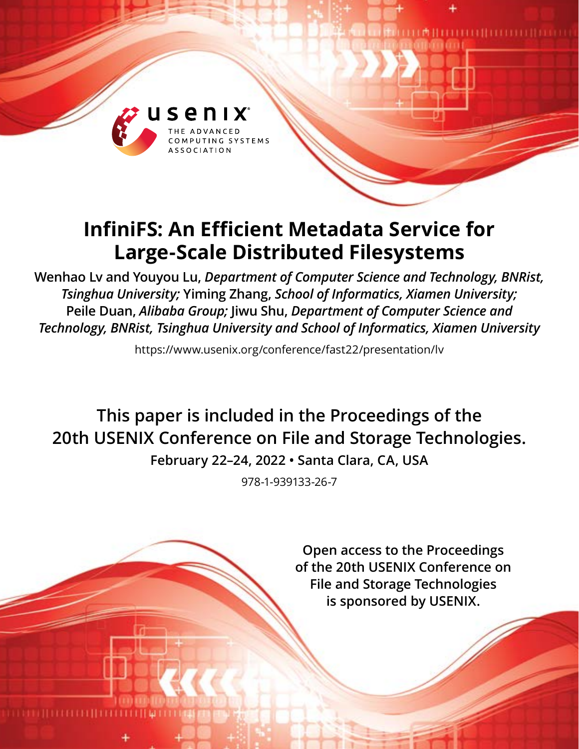

# **InfiniFS: An Efficient Metadata Service for Large-Scale Distributed Filesystems**

**Wenhao Lv and Youyou Lu,** *Department of Computer Science and Technology, BNRist, Tsinghua University;* **Yiming Zhang,** *School of Informatics, Xiamen University;* **Peile Duan,** *Alibaba Group;* **Jiwu Shu,** *Department of Computer Science and Technology, BNRist, Tsinghua University and School of Informatics, Xiamen University*

https://www.usenix.org/conference/fast22/presentation/lv

**This paper is included in the Proceedings of the 20th USENIX Conference on File and Storage Technologies. February 22–24, 2022 • Santa Clara, CA, USA**

978-1-939133-26-7

**Open access to the Proceedings of the 20th USENIX Conference on File and Storage Technologies is sponsored by USENIX.**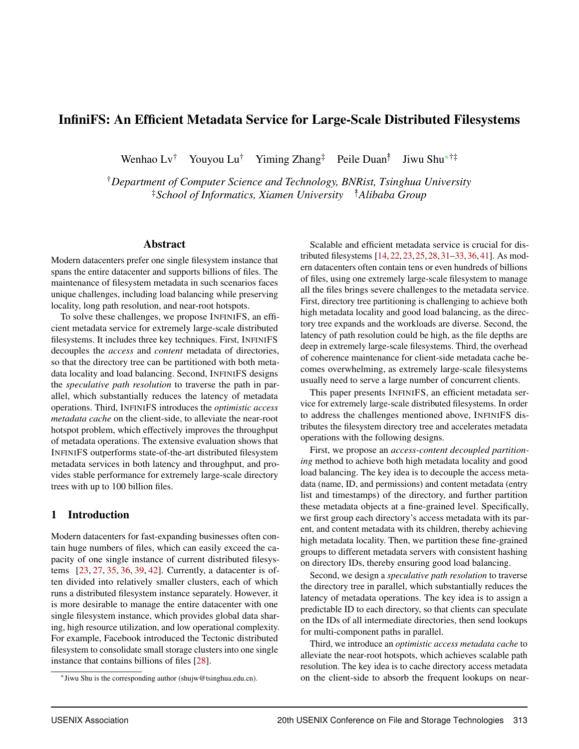# InfiniFS: An Efficient Metadata Service for Large-Scale Distributed Filesystems

Wenhao Lv<sup>†</sup> Youyou Lu<sup>†</sup> Yiming Zhang<sup>‡</sup> Peile Duan<sup>†</sup> Jiwu Shu<sup>∗†‡</sup>

†*Department of Computer Science and Technology, BNRist, Tsinghua University* ‡*School of Informatics, Xiamen University* ↟*Alibaba Group*

## Abstract

Modern datacenters prefer one single filesystem instance that spans the entire datacenter and supports billions of files. The maintenance of filesystem metadata in such scenarios faces unique challenges, including load balancing while preserving locality, long path resolution, and near-root hotspots.

To solve these challenges, we propose INFINIFS, an efficient metadata service for extremely large-scale distributed filesystems. It includes three key techniques. First, INFINIFS decouples the *access* and *content* metadata of directories, so that the directory tree can be partitioned with both metadata locality and load balancing. Second, INFINIFS designs the *speculative path resolution* to traverse the path in parallel, which substantially reduces the latency of metadata operations. Third, INFINIFS introduces the *optimistic access metadata cache* on the client-side, to alleviate the near-root hotspot problem, which effectively improves the throughput of metadata operations. The extensive evaluation shows that INFINIFS outperforms state-of-the-art distributed filesystem metadata services in both latency and throughput, and provides stable performance for extremely large-scale directory trees with up to 100 billion files.

## 1 Introduction

Modern datacenters for fast-expanding businesses often contain huge numbers of files, which can easily exceed the capacity of one single instance of current distributed filesystems [\[23,](#page-15-0) [27,](#page-15-1) [35,](#page-15-2) [36,](#page-15-3) [39,](#page-15-4) [42\]](#page-16-0). Currently, a datacenter is often divided into relatively smaller clusters, each of which runs a distributed filesystem instance separately. However, it is more desirable to manage the entire datacenter with one single filesystem instance, which provides global data sharing, high resource utilization, and low operational complexity. For example, Facebook introduced the Tectonic distributed filesystem to consolidate small storage clusters into one single instance that contains billions of files [\[28\]](#page-15-5).

Scalable and efficient metadata service is crucial for distributed filesystems [\[14,](#page-14-0)[22,](#page-15-6)[23,](#page-15-0)[25,](#page-15-7)[28,](#page-15-5)[31](#page-15-8)[–33,](#page-15-9)[36,](#page-15-3)[41\]](#page-16-1). As modern datacenters often contain tens or even hundreds of billions of files, using one extremely large-scale filesystem to manage all the files brings severe challenges to the metadata service. First, directory tree partitioning is challenging to achieve both high metadata locality and good load balancing, as the directory tree expands and the workloads are diverse. Second, the latency of path resolution could be high, as the file depths are deep in extremely large-scale filesystems. Third, the overhead of coherence maintenance for client-side metadata cache becomes overwhelming, as extremely large-scale filesystems usually need to serve a large number of concurrent clients.

This paper presents INFINIFS, an efficient metadata service for extremely large-scale distributed filesystems. In order to address the challenges mentioned above, INFINIFS distributes the filesystem directory tree and accelerates metadata operations with the following designs.

First, we propose an *access-content decoupled partitioning* method to achieve both high metadata locality and good load balancing. The key idea is to decouple the access metadata (name, ID, and permissions) and content metadata (entry list and timestamps) of the directory, and further partition these metadata objects at a fine-grained level. Specifically, we first group each directory's access metadata with its parent, and content metadata with its children, thereby achieving high metadata locality. Then, we partition these fine-grained groups to different metadata servers with consistent hashing on directory IDs, thereby ensuring good load balancing.

Second, we design a *speculative path resolution* to traverse the directory tree in parallel, which substantially reduces the latency of metadata operations. The key idea is to assign a predictable ID to each directory, so that clients can speculate on the IDs of all intermediate directories, then send lookups for multi-component paths in parallel.

Third, we introduce an *optimistic access metadata cache* to alleviate the near-root hotspots, which achieves scalable path resolution. The key idea is to cache directory access metadata on the client-side to absorb the frequent lookups on near-

<sup>∗</sup> Jiwu Shu is the corresponding author (shujw@tsinghua.edu.cn).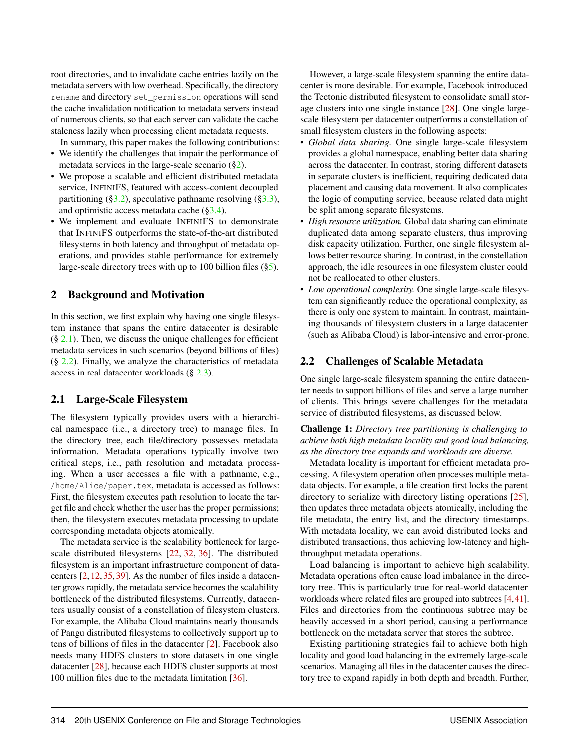root directories, and to invalidate cache entries lazily on the metadata servers with low overhead. Specifically, the directory rename and directory set\_permission operations will send the cache invalidation notification to metadata servers instead of numerous clients, so that each server can validate the cache staleness lazily when processing client metadata requests.

In summary, this paper makes the following contributions:

- We identify the challenges that impair the performance of metadata services in the large-scale scenario  $(\S_2)$ .
- We propose a scalable and efficient distributed metadata service, INFINIFS, featured with access-content decoupled partitioning ([§3.2\)](#page-4-0), speculative pathname resolving ([§3.3\)](#page-5-0), and optimistic access metadata cache ([§3.4\)](#page-7-0).
- We implement and evaluate INFINIFS to demonstrate that INFINIFS outperforms the state-of-the-art distributed filesystems in both latency and throughput of metadata operations, and provides stable performance for extremely large-scale directory trees with up to 100 billion files  $(\S 5)$ .

## <span id="page-2-0"></span>2 Background and Motivation

In this section, we first explain why having one single filesystem instance that spans the entire datacenter is desirable  $(\S 2.1)$  $(\S 2.1)$ . Then, we discuss the unique challenges for efficient metadata services in such scenarios (beyond billions of files)  $(\S$  [2.2\)](#page-2-2). Finally, we analyze the characteristics of metadata access in real datacenter workloads (§ [2.3\)](#page-3-0).

### <span id="page-2-1"></span>2.1 Large-Scale Filesystem

The filesystem typically provides users with a hierarchical namespace (i.e., a directory tree) to manage files. In the directory tree, each file/directory possesses metadata information. Metadata operations typically involve two critical steps, i.e., path resolution and metadata processing. When a user accesses a file with a pathname, e.g., /home/Alice/paper.tex, metadata is accessed as follows: First, the filesystem executes path resolution to locate the target file and check whether the user has the proper permissions; then, the filesystem executes metadata processing to update corresponding metadata objects atomically.

The metadata service is the scalability bottleneck for largescale distributed filesystems [\[22,](#page-15-6) [32,](#page-15-10) [36\]](#page-15-3). The distributed filesystem is an important infrastructure component of datacenters [\[2,](#page-14-1) [12,](#page-14-2) [35,](#page-15-2) [39\]](#page-15-4). As the number of files inside a datacenter grows rapidly, the metadata service becomes the scalability bottleneck of the distributed filesystems. Currently, datacenters usually consist of a constellation of filesystem clusters. For example, the Alibaba Cloud maintains nearly thousands of Pangu distributed filesystems to collectively support up to tens of billions of files in the datacenter [\[2\]](#page-14-1). Facebook also needs many HDFS clusters to store datasets in one single datacenter [\[28\]](#page-15-5), because each HDFS cluster supports at most 100 million files due to the metadata limitation [\[36\]](#page-15-3).

However, a large-scale filesystem spanning the entire datacenter is more desirable. For example, Facebook introduced the Tectonic distributed filesystem to consolidate small storage clusters into one single instance [\[28\]](#page-15-5). One single largescale filesystem per datacenter outperforms a constellation of small filesystem clusters in the following aspects:

- *Global data sharing.* One single large-scale filesystem provides a global namespace, enabling better data sharing across the datacenter. In contrast, storing different datasets in separate clusters is inefficient, requiring dedicated data placement and causing data movement. It also complicates the logic of computing service, because related data might be split among separate filesystems.
- *High resource utilization.* Global data sharing can eliminate duplicated data among separate clusters, thus improving disk capacity utilization. Further, one single filesystem allows better resource sharing. In contrast, in the constellation approach, the idle resources in one filesystem cluster could not be reallocated to other clusters.
- *Low operational complexity.* One single large-scale filesystem can significantly reduce the operational complexity, as there is only one system to maintain. In contrast, maintaining thousands of filesystem clusters in a large datacenter (such as Alibaba Cloud) is labor-intensive and error-prone.

# <span id="page-2-2"></span>2.2 Challenges of Scalable Metadata

One single large-scale filesystem spanning the entire datacenter needs to support billions of files and serve a large number of clients. This brings severe challenges for the metadata service of distributed filesystems, as discussed below.

Challenge 1: *Directory tree partitioning is challenging to achieve both high metadata locality and good load balancing, as the directory tree expands and workloads are diverse.*

Metadata locality is important for efficient metadata processing. A filesystem operation often processes multiple metadata objects. For example, a file creation first locks the parent directory to serialize with directory listing operations [\[25\]](#page-15-7), then updates three metadata objects atomically, including the file metadata, the entry list, and the directory timestamps. With metadata locality, we can avoid distributed locks and distributed transactions, thus achieving low-latency and highthroughput metadata operations.

Load balancing is important to achieve high scalability. Metadata operations often cause load imbalance in the directory tree. This is particularly true for real-world datacenter workloads where related files are grouped into subtrees [\[4,](#page-14-3)[41\]](#page-16-1). Files and directories from the continuous subtree may be heavily accessed in a short period, causing a performance bottleneck on the metadata server that stores the subtree.

Existing partitioning strategies fail to achieve both high locality and good load balancing in the extremely large-scale scenarios. Managing all files in the datacenter causes the directory tree to expand rapidly in both depth and breadth. Further,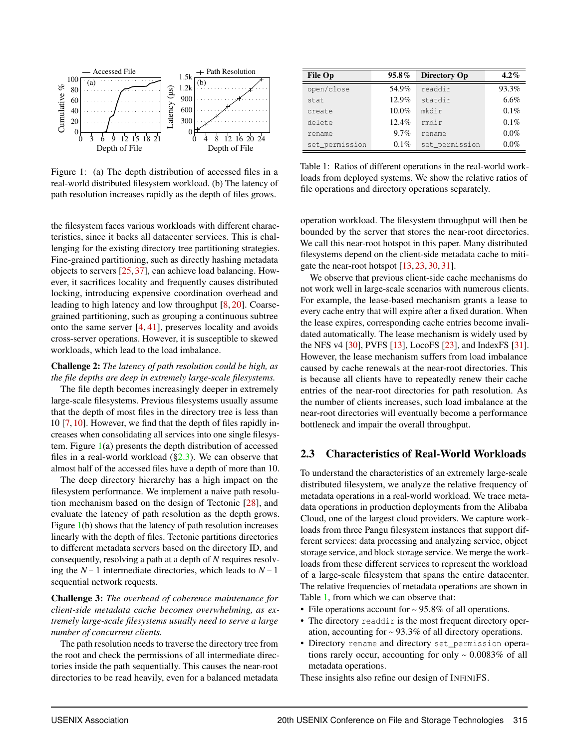

<span id="page-3-1"></span>Figure 1: (a) The depth distribution of accessed files in a real-world distributed filesystem workload. (b) The latency of path resolution increases rapidly as the depth of files grows.

the filesystem faces various workloads with different characteristics, since it backs all datacenter services. This is challenging for the existing directory tree partitioning strategies. Fine-grained partitioning, such as directly hashing metadata objects to servers [\[25,](#page-15-7) [37\]](#page-15-11), can achieve load balancing. However, it sacrifices locality and frequently causes distributed locking, introducing expensive coordination overhead and leading to high latency and low throughput [\[8,](#page-14-4) [20\]](#page-14-5). Coarsegrained partitioning, such as grouping a continuous subtree onto the same server [\[4,](#page-14-3) [41\]](#page-16-1), preserves locality and avoids cross-server operations. However, it is susceptible to skewed workloads, which lead to the load imbalance.

#### Challenge 2: *The latency of path resolution could be high, as the file depths are deep in extremely large-scale filesystems.*

The file depth becomes increasingly deeper in extremely large-scale filesystems. Previous filesystems usually assume that the depth of most files in the directory tree is less than 10 [\[7,](#page-14-6) [10\]](#page-14-7). However, we find that the depth of files rapidly increases when consolidating all services into one single filesystem. Figure  $1(a)$  $1(a)$  presents the depth distribution of accessed files in a real-world workload  $(\S2.3)$ . We can observe that almost half of the accessed files have a depth of more than 10.

The deep directory hierarchy has a high impact on the filesystem performance. We implement a naive path resolution mechanism based on the design of Tectonic [\[28\]](#page-15-5), and evaluate the latency of path resolution as the depth grows. Figure [1\(](#page-3-1)b) shows that the latency of path resolution increases linearly with the depth of files. Tectonic partitions directories to different metadata servers based on the directory ID, and consequently, resolving a path at a depth of *N* requires resolving the *N* −1 intermediate directories, which leads to *N* −1 sequential network requests.

Challenge 3: *The overhead of coherence maintenance for client-side metadata cache becomes overwhelming, as extremely large-scale filesystems usually need to serve a large number of concurrent clients.*

The path resolution needs to traverse the directory tree from the root and check the permissions of all intermediate directories inside the path sequentially. This causes the near-root directories to be read heavily, even for a balanced metadata

| <b>File Op</b> | $95.8\%$ | Directory Op   | $4.2\%$ |
|----------------|----------|----------------|---------|
| open/close     | 54.9%    | readdir        | 93.3%   |
| stat           | 12.9%    | statdir        | 6.6%    |
| create         | $10.0\%$ | mkdir          | 0.1%    |
| delete         | 12.4%    | rmdir          | $0.1\%$ |
| rename         | 9.7%     | rename         | $0.0\%$ |
| set_permission | $0.1\%$  | set_permission | $0.0\%$ |

<span id="page-3-2"></span>Table 1: Ratios of different operations in the real-world workloads from deployed systems. We show the relative ratios of file operations and directory operations separately.

operation workload. The filesystem throughput will then be bounded by the server that stores the near-root directories. We call this near-root hotspot in this paper. Many distributed filesystems depend on the client-side metadata cache to mitigate the near-root hotspot [\[13,](#page-14-8) [23,](#page-15-0) [30,](#page-15-12) [31\]](#page-15-8).

We observe that previous client-side cache mechanisms do not work well in large-scale scenarios with numerous clients. For example, the lease-based mechanism grants a lease to every cache entry that will expire after a fixed duration. When the lease expires, corresponding cache entries become invalidated automatically. The lease mechanism is widely used by the NFS v4 [\[30\]](#page-15-12), PVFS [\[13\]](#page-14-8), LocoFS [\[23\]](#page-15-0), and IndexFS [\[31\]](#page-15-8). However, the lease mechanism suffers from load imbalance caused by cache renewals at the near-root directories. This is because all clients have to repeatedly renew their cache entries of the near-root directories for path resolution. As the number of clients increases, such load imbalance at the near-root directories will eventually become a performance bottleneck and impair the overall throughput.

## <span id="page-3-0"></span>2.3 Characteristics of Real-World Workloads

To understand the characteristics of an extremely large-scale distributed filesystem, we analyze the relative frequency of metadata operations in a real-world workload. We trace metadata operations in production deployments from the Alibaba Cloud, one of the largest cloud providers. We capture workloads from three Pangu filesystem instances that support different services: data processing and analyzing service, object storage service, and block storage service. We merge the workloads from these different services to represent the workload of a large-scale filesystem that spans the entire datacenter. The relative frequencies of metadata operations are shown in Table [1,](#page-3-2) from which we can observe that:

- File operations account for ∼ 95.8% of all operations.
- The directory readdir is the most frequent directory operation, accounting for ∼ 93.3% of all directory operations.
- Directory rename and directory set\_permission operations rarely occur, accounting for only ∼ 0.0083% of all metadata operations.

These insights also refine our design of INFINIFS.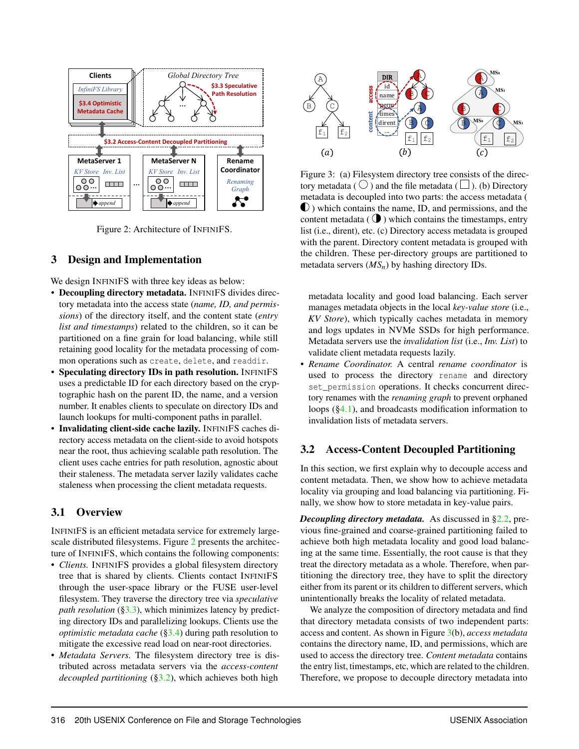

<span id="page-4-1"></span>Figure 2: Architecture of INFINIFS.

# 3 Design and Implementation

We design INFINIFS with three key ideas as below:

- Decoupling directory metadata. INFINIFS divides directory metadata into the access state (*name, ID, and permissions*) of the directory itself, and the content state (*entry list and timestamps*) related to the children, so it can be partitioned on a fine grain for load balancing, while still retaining good locality for the metadata processing of common operations such as create, delete, and readdir.
- Speculating directory IDs in path resolution. INFINIFS uses a predictable ID for each directory based on the cryptographic hash on the parent ID, the name, and a version number. It enables clients to speculate on directory IDs and launch lookups for multi-component paths in parallel.
- Invalidating client-side cache lazily. INFINIFS caches directory access metadata on the client-side to avoid hotspots near the root, thus achieving scalable path resolution. The client uses cache entries for path resolution, agnostic about their staleness. The metadata server lazily validates cache staleness when processing the client metadata requests.

# 3.1 Overview

INFINIFS is an efficient metadata service for extremely largescale distributed filesystems. Figure [2](#page-4-1) presents the architecture of INFINIFS, which contains the following components:

- *Clients.* INFINIFS provides a global filesystem directory tree that is shared by clients. Clients contact INFINIFS through the user-space library or the FUSE user-level filesystem. They traverse the directory tree via *speculative path resolution* ([§3.3\)](#page-5-0), which minimizes latency by predicting directory IDs and parallelizing lookups. Clients use the *optimistic metadata cache* ([§3.4\)](#page-7-0) during path resolution to mitigate the excessive read load on near-root directories.
- *Metadata Servers.* The filesystem directory tree is distributed across metadata servers via the *access-content decoupled partitioning* ([§3.2\)](#page-4-0), which achieves both high



<span id="page-4-2"></span>Figure 3: (a) Filesystem directory tree consists of the directory metadata ( $\bigcirc$ ) and the file metadata ( $\Box$ ). (b) Directory metadata is decoupled into two parts: the access metadata ( ) which contains the name, ID, and permissions, and the content metadata  $(Q)$  which contains the timestamps, entry list (i.e., dirent), etc. (c) Directory access metadata is grouped with the parent. Directory content metadata is grouped with the children. These per-directory groups are partitioned to metadata servers (*MSn*) by hashing directory IDs.

metadata locality and good load balancing. Each server manages metadata objects in the local *key-value store* (i.e., *KV Store*), which typically caches metadata in memory and logs updates in NVMe SSDs for high performance. Metadata servers use the *invalidation list* (i.e., *Inv. List*) to validate client metadata requests lazily.

• *Rename Coordinator.* A central *rename coordinator* is used to process the directory rename and directory set permission operations. It checks concurrent directory renames with the *renaming graph* to prevent orphaned loops ([§4.1\)](#page-8-1), and broadcasts modification information to invalidation lists of metadata servers.

# <span id="page-4-0"></span>3.2 Access-Content Decoupled Partitioning

In this section, we first explain why to decouple access and content metadata. Then, we show how to achieve metadata locality via grouping and load balancing via partitioning. Finally, we show how to store metadata in key-value pairs.

*Decoupling directory metadata.* As discussed in [§2.2,](#page-2-2) previous fine-grained and coarse-grained partitioning failed to achieve both high metadata locality and good load balancing at the same time. Essentially, the root cause is that they treat the directory metadata as a whole. Therefore, when partitioning the directory tree, they have to split the directory either from its parent or its children to different servers, which unintentionally breaks the locality of related metadata.

We analyze the composition of directory metadata and find that directory metadata consists of two independent parts: access and content. As shown in Figure [3\(](#page-4-2)b), *access metadata* contains the directory name, ID, and permissions, which are used to access the directory tree. *Content metadata* contains the entry list, timestamps, etc, which are related to the children. Therefore, we propose to decouple directory metadata into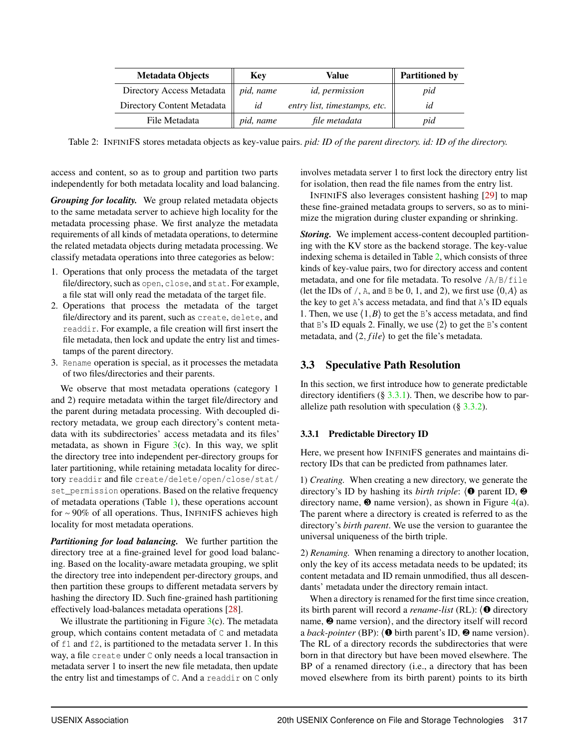| <b>Metadata Objects</b>    | <b>Key</b> | Value                        | <b>Partitioned by</b> |
|----------------------------|------------|------------------------------|-----------------------|
| Directory Access Metadata  | pid, name  | <i>id, permission</i>        | pid                   |
| Directory Content Metadata | id         | entry list, timestamps, etc. | ıа                    |
| File Metadata              | pid, name  | file metadata                | pid                   |

<span id="page-5-1"></span>Table 2: INFINIFS stores metadata objects as key-value pairs. *pid: ID of the parent directory. id: ID of the directory.*

access and content, so as to group and partition two parts independently for both metadata locality and load balancing.

*Grouping for locality.* We group related metadata objects to the same metadata server to achieve high locality for the metadata processing phase. We first analyze the metadata requirements of all kinds of metadata operations, to determine the related metadata objects during metadata processing. We classify metadata operations into three categories as below:

- 1. Operations that only process the metadata of the target file/directory, such as open, close, and stat. For example, a file stat will only read the metadata of the target file.
- 2. Operations that process the metadata of the target file/directory and its parent, such as create, delete, and readdir. For example, a file creation will first insert the file metadata, then lock and update the entry list and timestamps of the parent directory.
- 3. Rename operation is special, as it processes the metadata of two files/directories and their parents.

We observe that most metadata operations (category 1 and 2) require metadata within the target file/directory and the parent during metadata processing. With decoupled directory metadata, we group each directory's content metadata with its subdirectories' access metadata and its files' metadata, as shown in Figure  $3(c)$  $3(c)$ . In this way, we split the directory tree into independent per-directory groups for later partitioning, while retaining metadata locality for directory readdir and file create/delete/open/close/stat/ set permission operations. Based on the relative frequency of metadata operations (Table [1\)](#page-3-2), these operations account for ∼ 90% of all operations. Thus, INFINIFS achieves high locality for most metadata operations.

*Partitioning for load balancing.* We further partition the directory tree at a fine-grained level for good load balancing. Based on the locality-aware metadata grouping, we split the directory tree into independent per-directory groups, and then partition these groups to different metadata servers by hashing the directory ID. Such fine-grained hash partitioning effectively load-balances metadata operations [\[28\]](#page-15-5).

We illustrate the partitioning in Figure  $3(c)$  $3(c)$ . The metadata group, which contains content metadata of C and metadata of f1 and f2, is partitioned to the metadata server 1. In this way, a file create under C only needs a local transaction in metadata server 1 to insert the new file metadata, then update the entry list and timestamps of C. And a readdir on C only

involves metadata server 1 to first lock the directory entry list for isolation, then read the file names from the entry list.

INFINIFS also leverages consistent hashing [\[29\]](#page-15-13) to map these fine-grained metadata groups to servers, so as to minimize the migration during cluster expanding or shrinking.

*Storing.* We implement access-content decoupled partitioning with the KV store as the backend storage. The key-value indexing schema is detailed in Table [2,](#page-5-1) which consists of three kinds of key-value pairs, two for directory access and content metadata, and one for file metadata. To resolve /A/B/file (let the IDs of  $/$ , A, and B be 0, 1, and 2), we first use  $(0, A)$  as the key to get A's access metadata, and find that A's ID equals 1. Then, we use  $\langle 1, B \rangle$  to get the B's access metadata, and find that B's ID equals 2. Finally, we use  $\langle 2 \rangle$  to get the B's content metadata, and  $\langle 2, file \rangle$  to get the file's metadata.

# <span id="page-5-0"></span>3.3 Speculative Path Resolution

In this section, we first introduce how to generate predictable directory identifiers  $(\S 3.3.1)$  $(\S 3.3.1)$ . Then, we describe how to parallelize path resolution with speculation  $(\S 3.3.2)$  $(\S 3.3.2)$ .

## <span id="page-5-2"></span>3.3.1 Predictable Directory ID

Here, we present how INFINIFS generates and maintains directory IDs that can be predicted from pathnames later.

1) *Creating.* When creating a new directory, we generate the directory's ID by hashing its *birth triple*: ⟨❶ parent ID, ❷ directory name,  $\bullet$  name version), as shown in Figure [4\(](#page-6-1)a). The parent where a directory is created is referred to as the directory's *birth parent*. We use the version to guarantee the universal uniqueness of the birth triple.

2) *Renaming.* When renaming a directory to another location, only the key of its access metadata needs to be updated; its content metadata and ID remain unmodified, thus all descendants' metadata under the directory remain intact.

When a directory is renamed for the first time since creation, its birth parent will record a *rename-list* (RL): ⟨❶ directory name,  $\Theta$  name version), and the directory itself will record a *back-pointer* (BP): ⟨❶ birth parent's ID, ❷ name version⟩. The RL of a directory records the subdirectories that were born in that directory but have been moved elsewhere. The BP of a renamed directory (i.e., a directory that has been moved elsewhere from its birth parent) points to its birth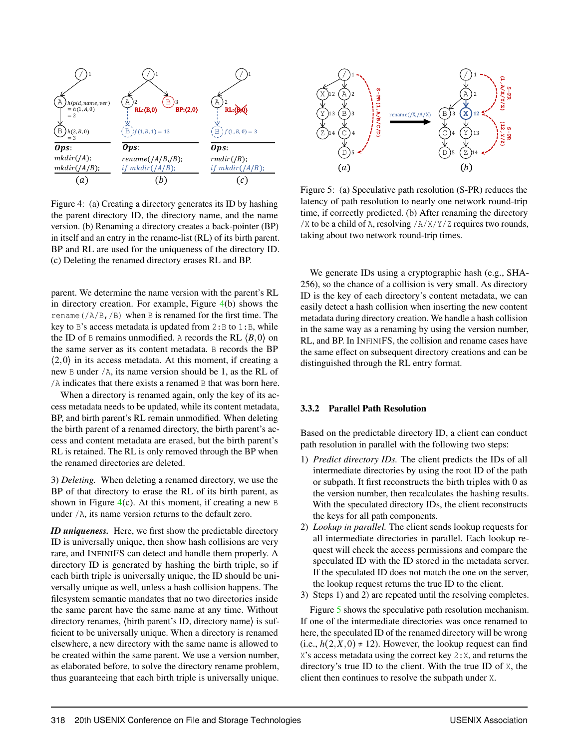

<span id="page-6-1"></span>Figure 4: (a) Creating a directory generates its ID by hashing the parent directory ID, the directory name, and the name version. (b) Renaming a directory creates a back-pointer (BP) in itself and an entry in the rename-list (RL) of its birth parent. BP and RL are used for the uniqueness of the directory ID. (c) Deleting the renamed directory erases RL and BP.

parent. We determine the name version with the parent's RL in directory creation. For example, Figure [4\(](#page-6-1)b) shows the rename  $//A/B,$   $/B)$  when B is renamed for the first time. The key to B's access metadata is updated from  $2: B$  to  $1: B$ , while the ID of B remains unmodified. A records the RL  $\langle B, 0 \rangle$  on the same server as its content metadata. B records the BP  $(2,0)$  in its access metadata. At this moment, if creating a new B under /A, its name version should be 1, as the RL of /A indicates that there exists a renamed B that was born here.

When a directory is renamed again, only the key of its access metadata needs to be updated, while its content metadata, BP, and birth parent's RL remain unmodified. When deleting the birth parent of a renamed directory, the birth parent's access and content metadata are erased, but the birth parent's RL is retained. The RL is only removed through the BP when the renamed directories are deleted.

3) *Deleting.* When deleting a renamed directory, we use the BP of that directory to erase the RL of its birth parent, as shown in Figure  $4(c)$  $4(c)$ . At this moment, if creating a new B under /A, its name version returns to the default zero.

*ID uniqueness.* Here, we first show the predictable directory ID is universally unique, then show hash collisions are very rare, and INFINIFS can detect and handle them properly. A directory ID is generated by hashing the birth triple, so if each birth triple is universally unique, the ID should be universally unique as well, unless a hash collision happens. The filesystem semantic mandates that no two directories inside the same parent have the same name at any time. Without directory renames,  $\langle$  birth parent's ID, directory name $\rangle$  is sufficient to be universally unique. When a directory is renamed elsewhere, a new directory with the same name is allowed to be created within the same parent. We use a version number, as elaborated before, to solve the directory rename problem, thus guaranteeing that each birth triple is universally unique.



<span id="page-6-2"></span>Figure 5: (a) Speculative path resolution (S-PR) reduces the latency of path resolution to nearly one network round-trip time, if correctly predicted. (b) After renaming the directory /X to be a child of A, resolving /A/X/Y/Z requires two rounds, taking about two network round-trip times.

We generate IDs using a cryptographic hash (e.g., SHA-256), so the chance of a collision is very small. As directory ID is the key of each directory's content metadata, we can easily detect a hash collision when inserting the new content metadata during directory creation. We handle a hash collision in the same way as a renaming by using the version number, RL, and BP. In INFINIFS, the collision and rename cases have the same effect on subsequent directory creations and can be distinguished through the RL entry format.

#### <span id="page-6-0"></span>3.3.2 Parallel Path Resolution

Based on the predictable directory ID, a client can conduct path resolution in parallel with the following two steps:

- 1) *Predict directory IDs.* The client predicts the IDs of all intermediate directories by using the root ID of the path or subpath. It first reconstructs the birth triples with 0 as the version number, then recalculates the hashing results. With the speculated directory IDs, the client reconstructs the keys for all path components.
- 2) *Lookup in parallel.* The client sends lookup requests for all intermediate directories in parallel. Each lookup request will check the access permissions and compare the speculated ID with the ID stored in the metadata server. If the speculated ID does not match the one on the server, the lookup request returns the true ID to the client.
- 3) Steps 1) and 2) are repeated until the resolving completes.

Figure [5](#page-6-2) shows the speculative path resolution mechanism. If one of the intermediate directories was once renamed to here, the speculated ID of the renamed directory will be wrong (i.e.,  $h(2, X, 0) \neq 12$ ). However, the lookup request can find  $X$ 's access metadata using the correct key  $2: X$ , and returns the directory's true ID to the client. With the true ID of X, the client then continues to resolve the subpath under X.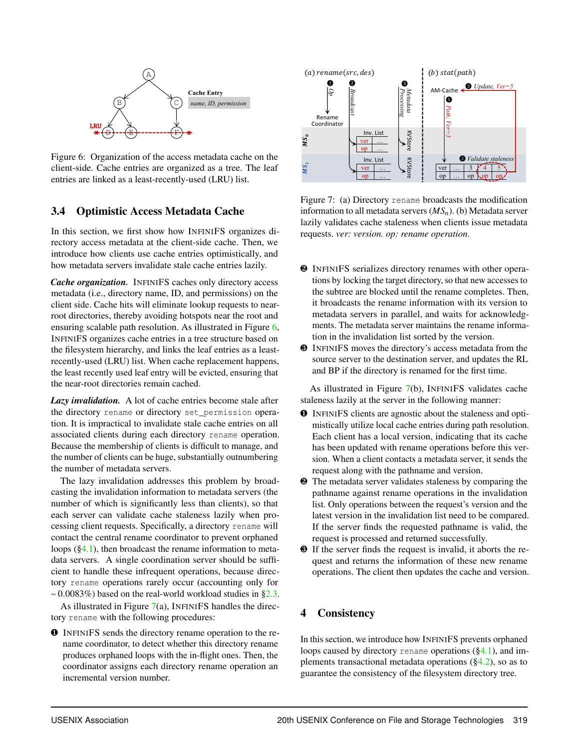

<span id="page-7-1"></span>Figure 6: Organization of the access metadata cache on the client-side. Cache entries are organized as a tree. The leaf entries are linked as a least-recently-used (LRU) list.

# <span id="page-7-0"></span>3.4 Optimistic Access Metadata Cache

In this section, we first show how INFINIFS organizes directory access metadata at the client-side cache. Then, we introduce how clients use cache entries optimistically, and how metadata servers invalidate stale cache entries lazily.

*Cache organization.* INFINIFS caches only directory access metadata (i.e., directory name, ID, and permissions) on the client side. Cache hits will eliminate lookup requests to nearroot directories, thereby avoiding hotspots near the root and ensuring scalable path resolution. As illustrated in Figure [6,](#page-7-1) INFINIFS organizes cache entries in a tree structure based on the filesystem hierarchy, and links the leaf entries as a leastrecently-used (LRU) list. When cache replacement happens, the least recently used leaf entry will be evicted, ensuring that the near-root directories remain cached.

*Lazy invalidation.* A lot of cache entries become stale after the directory rename or directory set permission operation. It is impractical to invalidate stale cache entries on all associated clients during each directory rename operation. Because the membership of clients is difficult to manage, and the number of clients can be huge, substantially outnumbering the number of metadata servers.

The lazy invalidation addresses this problem by broadcasting the invalidation information to metadata servers (the number of which is significantly less than clients), so that each server can validate cache staleness lazily when processing client requests. Specifically, a directory rename will contact the central rename coordinator to prevent orphaned loops  $(\S 4.1)$ , then broadcast the rename information to metadata servers. A single coordination server should be sufficient to handle these infrequent operations, because directory rename operations rarely occur (accounting only for  $~\sim$  0.0083%) based on the real-world workload studies in [§2.3.](#page-3-0)

As illustrated in Figure [7\(](#page-7-2)a), INFINIFS handles the directory rename with the following procedures:

❶ INFINIFS sends the directory rename operation to the rename coordinator, to detect whether this directory rename produces orphaned loops with the in-flight ones. Then, the coordinator assigns each directory rename operation an incremental version number.



<span id="page-7-2"></span>Figure 7: (a) Directory rename broadcasts the modification information to all metadata servers (*MSn*). (b) Metadata server lazily validates cache staleness when clients issue metadata requests. *ver: version. op: rename operation.*

- ❷ INFINIFS serializes directory renames with other operations by locking the target directory, so that new accesses to the subtree are blocked until the rename completes. Then, it broadcasts the rename information with its version to metadata servers in parallel, and waits for acknowledgments. The metadata server maintains the rename information in the invalidation list sorted by the version.
- ❸ INFINIFS moves the directory's access metadata from the source server to the destination server, and updates the RL and BP if the directory is renamed for the first time.

As illustrated in Figure [7\(](#page-7-2)b), INFINIFS validates cache staleness lazily at the server in the following manner:

- ❶ INFINIFS clients are agnostic about the staleness and optimistically utilize local cache entries during path resolution. Each client has a local version, indicating that its cache has been updated with rename operations before this version. When a client contacts a metadata server, it sends the request along with the pathname and version.
- ❷ The metadata server validates staleness by comparing the pathname against rename operations in the invalidation list. Only operations between the request's version and the latest version in the invalidation list need to be compared. If the server finds the requested pathname is valid, the request is processed and returned successfully.
- ❸ If the server finds the request is invalid, it aborts the request and returns the information of these new rename operations. The client then updates the cache and version.

# 4 Consistency

In this section, we introduce how INFINIFS prevents orphaned loops caused by directory rename operations ([§4.1\)](#page-8-1), and implements transactional metadata operations  $(\S4.2)$ , so as to guarantee the consistency of the filesystem directory tree.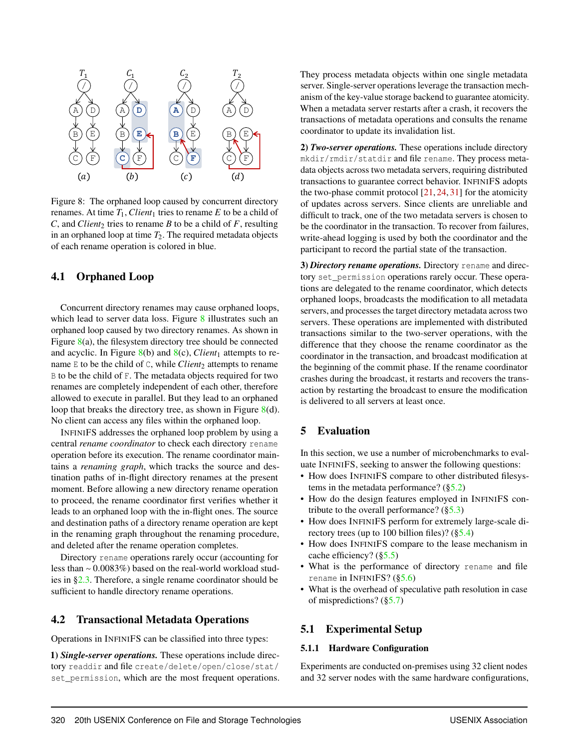

<span id="page-8-3"></span>Figure 8: The orphaned loop caused by concurrent directory renames. At time  $T_1$ , *Client*<sub>1</sub> tries to rename *E* to be a child of  $C$ , and *Client*<sub>2</sub> tries to rename *B* to be a child of *F*, resulting in an orphaned loop at time  $T_2$ . The required metadata objects of each rename operation is colored in blue.

## <span id="page-8-1"></span>4.1 Orphaned Loop

Concurrent directory renames may cause orphaned loops, which lead to server data loss. Figure [8](#page-8-3) illustrates such an orphaned loop caused by two directory renames. As shown in Figure [8\(](#page-8-3)a), the filesystem directory tree should be connected and acyclic. In Figure  $8(b)$  $8(b)$  and  $8(c)$ , *Client*<sub>1</sub> attempts to rename  $E$  to be the child of  $C$ , while *Client*<sub>2</sub> attempts to rename B to be the child of F. The metadata objects required for two renames are completely independent of each other, therefore allowed to execute in parallel. But they lead to an orphaned loop that breaks the directory tree, as shown in Figure [8\(](#page-8-3)d). No client can access any files within the orphaned loop.

INFINIFS addresses the orphaned loop problem by using a central *rename coordinator* to check each directory rename operation before its execution. The rename coordinator maintains a *renaming graph*, which tracks the source and destination paths of in-flight directory renames at the present moment. Before allowing a new directory rename operation to proceed, the rename coordinator first verifies whether it leads to an orphaned loop with the in-flight ones. The source and destination paths of a directory rename operation are kept in the renaming graph throughout the renaming procedure, and deleted after the rename operation completes.

Directory rename operations rarely occur (accounting for less than ∼ 0.0083%) based on the real-world workload studies in [§2.3.](#page-3-0) Therefore, a single rename coordinator should be sufficient to handle directory rename operations.

### <span id="page-8-2"></span>4.2 Transactional Metadata Operations

Operations in INFINIFS can be classified into three types:

1) *Single-server operations.* These operations include directory readdir and file create/delete/open/close/stat/ set permission, which are the most frequent operations. They process metadata objects within one single metadata server. Single-server operations leverage the transaction mechanism of the key-value storage backend to guarantee atomicity. When a metadata server restarts after a crash, it recovers the transactions of metadata operations and consults the rename coordinator to update its invalidation list.

2) *Two-server operations.* These operations include directory mkdir/rmdir/statdir and file rename. They process metadata objects across two metadata servers, requiring distributed transactions to guarantee correct behavior. INFINIFS adopts the two-phase commit protocol  $[21, 24, 31]$  $[21, 24, 31]$  $[21, 24, 31]$  $[21, 24, 31]$  $[21, 24, 31]$  for the atomicity of updates across servers. Since clients are unreliable and difficult to track, one of the two metadata servers is chosen to be the coordinator in the transaction. To recover from failures, write-ahead logging is used by both the coordinator and the participant to record the partial state of the transaction.

3) *Directory rename operations.* Directory rename and directory set\_permission operations rarely occur. These operations are delegated to the rename coordinator, which detects orphaned loops, broadcasts the modification to all metadata servers, and processes the target directory metadata across two servers. These operations are implemented with distributed transactions similar to the two-server operations, with the difference that they choose the rename coordinator as the coordinator in the transaction, and broadcast modification at the beginning of the commit phase. If the rename coordinator crashes during the broadcast, it restarts and recovers the transaction by restarting the broadcast to ensure the modification is delivered to all servers at least once.

# <span id="page-8-0"></span>5 Evaluation

In this section, we use a number of microbenchmarks to evaluate INFINIFS, seeking to answer the following questions:

- How does INFINIFS compare to other distributed filesystems in the metadata performance?  $(\S5.2)$
- How do the design features employed in INFINIFS contribute to the overall performance?  $(\S 5.3)$
- How does INFINIFS perform for extremely large-scale directory trees (up to 100 billion files)?  $(\S 5.4)$
- How does INFINIFS compare to the lease mechanism in cache efficiency? ([§5.5\)](#page-11-1)
- What is the performance of directory rename and file rename in INFINIFS? ([§5.6\)](#page-12-0)
- What is the overhead of speculative path resolution in case of mispredictions? ([§5.7\)](#page-12-1)

#### 5.1 Experimental Setup

#### 5.1.1 Hardware Configuration

Experiments are conducted on-premises using 32 client nodes and 32 server nodes with the same hardware configurations,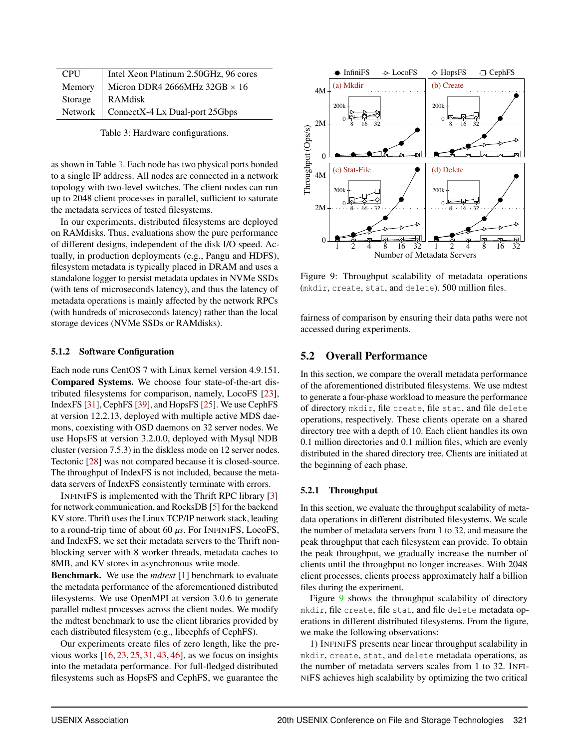| <b>CPU</b> | Intel Xeon Platinum 2.50GHz, 96 cores         |
|------------|-----------------------------------------------|
|            | Memory   Micron DDR4 2666MHz 32GB $\times$ 16 |
| Storage    | RAMdisk                                       |
|            | Network   ConnectX-4 Lx Dual-port 25Gbps      |

<span id="page-9-1"></span>Table 3: Hardware configurations.

as shown in Table [3.](#page-9-1) Each node has two physical ports bonded to a single IP address. All nodes are connected in a network topology with two-level switches. The client nodes can run up to 2048 client processes in parallel, sufficient to saturate the metadata services of tested filesystems.

In our experiments, distributed filesystems are deployed on RAMdisks. Thus, evaluations show the pure performance of different designs, independent of the disk I/O speed. Actually, in production deployments (e.g., Pangu and HDFS), filesystem metadata is typically placed in DRAM and uses a standalone logger to persist metadata updates in NVMe SSDs (with tens of microseconds latency), and thus the latency of metadata operations is mainly affected by the network RPCs (with hundreds of microseconds latency) rather than the local storage devices (NVMe SSDs or RAMdisks).

#### 5.1.2 Software Configuration

Each node runs CentOS 7 with Linux kernel version 4.9.151. Compared Systems. We choose four state-of-the-art distributed filesystems for comparison, namely, LocoFS [\[23\]](#page-15-0), IndexFS [\[31\]](#page-15-8), CephFS [\[39\]](#page-15-4), and HopsFS [\[25\]](#page-15-7). We use CephFS at version 12.2.13, deployed with multiple active MDS daemons, coexisting with OSD daemons on 32 server nodes. We use HopsFS at version 3.2.0.0, deployed with Mysql NDB cluster (version 7.5.3) in the diskless mode on 12 server nodes. Tectonic [\[28\]](#page-15-5) was not compared because it is closed-source. The throughput of IndexFS is not included, because the metadata servers of IndexFS consistently terminate with errors.

INFINIFS is implemented with the Thrift RPC library [\[3\]](#page-14-9) for network communication, and RocksDB [\[5\]](#page-14-10) for the backend KV store. Thrift uses the Linux TCP/IP network stack, leading to a round-trip time of about 60 *µs*. For INFINIFS, LocoFS, and IndexFS, we set their metadata servers to the Thrift nonblocking server with 8 worker threads, metadata caches to 8MB, and KV stores in asynchronous write mode.

Benchmark. We use the *mdtest* [\[1\]](#page-14-11) benchmark to evaluate the metadata performance of the aforementioned distributed filesystems. We use OpenMPI at version 3.0.6 to generate parallel mdtest processes across the client nodes. We modify the mdtest benchmark to use the client libraries provided by each distributed filesystem (e.g., libcephfs of CephFS).

Our experiments create files of zero length, like the previous works  $[16, 23, 25, 31, 43, 46]$  $[16, 23, 25, 31, 43, 46]$  $[16, 23, 25, 31, 43, 46]$  $[16, 23, 25, 31, 43, 46]$  $[16, 23, 25, 31, 43, 46]$  $[16, 23, 25, 31, 43, 46]$  $[16, 23, 25, 31, 43, 46]$  $[16, 23, 25, 31, 43, 46]$  $[16, 23, 25, 31, 43, 46]$  $[16, 23, 25, 31, 43, 46]$  $[16, 23, 25, 31, 43, 46]$ , as we focus on insights into the metadata performance. For full-fledged distributed filesystems such as HopsFS and CephFS, we guarantee the



<span id="page-9-2"></span>Figure 9: Throughput scalability of metadata operations (mkdir, create, stat, and delete). 500 million files.

fairness of comparison by ensuring their data paths were not accessed during experiments.

# <span id="page-9-0"></span>5.2 Overall Performance

In this section, we compare the overall metadata performance of the aforementioned distributed filesystems. We use mdtest to generate a four-phase workload to measure the performance of directory mkdir, file create, file stat, and file delete operations, respectively. These clients operate on a shared directory tree with a depth of 10. Each client handles its own 0.1 million directories and 0.1 million files, which are evenly distributed in the shared directory tree. Clients are initiated at the beginning of each phase.

### 5.2.1 Throughput

In this section, we evaluate the throughput scalability of metadata operations in different distributed filesystems. We scale the number of metadata servers from 1 to 32, and measure the peak throughput that each filesystem can provide. To obtain the peak throughput, we gradually increase the number of clients until the throughput no longer increases. With 2048 client processes, clients process approximately half a billion files during the experiment.

Figure [9](#page-9-2) shows the throughput scalability of directory mkdir, file create, file stat, and file delete metadata operations in different distributed filesystems. From the figure, we make the following observations:

1) INFINIFS presents near linear throughput scalability in mkdir, create, stat, and delete metadata operations, as the number of metadata servers scales from 1 to 32. INFI-NIFS achieves high scalability by optimizing the two critical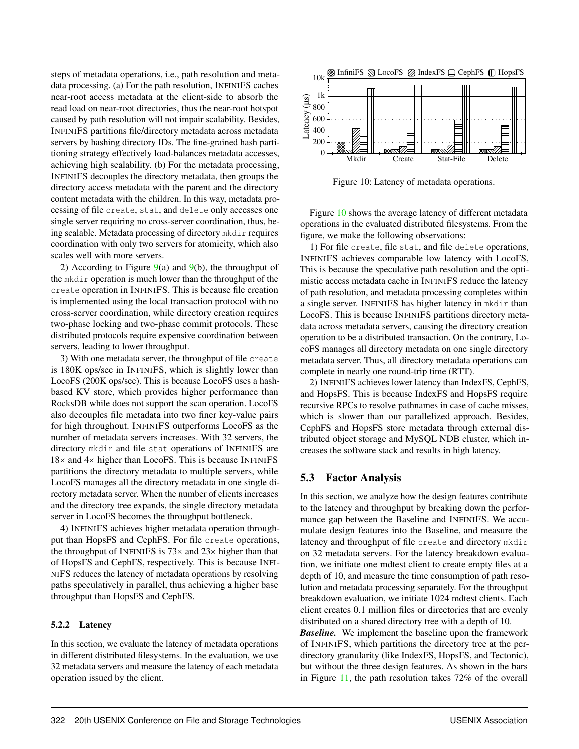steps of metadata operations, i.e., path resolution and metadata processing. (a) For the path resolution, INFINIFS caches near-root access metadata at the client-side to absorb the read load on near-root directories, thus the near-root hotspot caused by path resolution will not impair scalability. Besides, INFINIFS partitions file/directory metadata across metadata servers by hashing directory IDs. The fine-grained hash partitioning strategy effectively load-balances metadata accesses, achieving high scalability. (b) For the metadata processing, INFINIFS decouples the directory metadata, then groups the directory access metadata with the parent and the directory content metadata with the children. In this way, metadata processing of file create, stat, and delete only accesses one single server requiring no cross-server coordination, thus, being scalable. Metadata processing of directory mkdir requires coordination with only two servers for atomicity, which also scales well with more servers.

2) According to Figure  $9(a)$  $9(a)$  and  $9(b)$ , the throughput of the mkdir operation is much lower than the throughput of the create operation in INFINIFS. This is because file creation is implemented using the local transaction protocol with no cross-server coordination, while directory creation requires two-phase locking and two-phase commit protocols. These distributed protocols require expensive coordination between servers, leading to lower throughput.

3) With one metadata server, the throughput of file create is 180K ops/sec in INFINIFS, which is slightly lower than LocoFS (200K ops/sec). This is because LocoFS uses a hashbased KV store, which provides higher performance than RocksDB while does not support the scan operation. LocoFS also decouples file metadata into two finer key-value pairs for high throughout. INFINIFS outperforms LocoFS as the number of metadata servers increases. With 32 servers, the directory mkdir and file stat operations of INFINIFS are 18× and 4× higher than LocoFS. This is because INFINIFS partitions the directory metadata to multiple servers, while LocoFS manages all the directory metadata in one single directory metadata server. When the number of clients increases and the directory tree expands, the single directory metadata server in LocoFS becomes the throughput bottleneck.

4) INFINIFS achieves higher metadata operation throughput than HopsFS and CephFS. For file create operations, the throughput of INFINIFS is  $73\times$  and  $23\times$  higher than that of HopsFS and CephFS, respectively. This is because INFI-NIFS reduces the latency of metadata operations by resolving paths speculatively in parallel, thus achieving a higher base throughput than HopsFS and CephFS.

#### 5.2.2 Latency

In this section, we evaluate the latency of metadata operations in different distributed filesystems. In the evaluation, we use 32 metadata servers and measure the latency of each metadata operation issued by the client.



<span id="page-10-1"></span>Figure 10: Latency of metadata operations.

Figure [10](#page-10-1) shows the average latency of different metadata operations in the evaluated distributed filesystems. From the figure, we make the following observations:

1) For file create, file stat, and file delete operations, INFINIFS achieves comparable low latency with LocoFS, This is because the speculative path resolution and the optimistic access metadata cache in INFINIFS reduce the latency of path resolution, and metadata processing completes within a single server. INFINIFS has higher latency in mkdir than LocoFS. This is because INFINIFS partitions directory metadata across metadata servers, causing the directory creation operation to be a distributed transaction. On the contrary, LocoFS manages all directory metadata on one single directory metadata server. Thus, all directory metadata operations can complete in nearly one round-trip time (RTT).

2) INFINIFS achieves lower latency than IndexFS, CephFS, and HopsFS. This is because IndexFS and HopsFS require recursive RPCs to resolve pathnames in case of cache misses, which is slower than our parallelized approach. Besides, CephFS and HopsFS store metadata through external distributed object storage and MySQL NDB cluster, which increases the software stack and results in high latency.

### <span id="page-10-0"></span>5.3 Factor Analysis

In this section, we analyze how the design features contribute to the latency and throughput by breaking down the performance gap between the Baseline and INFINIFS. We accumulate design features into the Baseline, and measure the latency and throughput of file create and directory mkdir on 32 metadata servers. For the latency breakdown evaluation, we initiate one mdtest client to create empty files at a depth of 10, and measure the time consumption of path resolution and metadata processing separately. For the throughput breakdown evaluation, we initiate 1024 mdtest clients. Each client creates 0.1 million files or directories that are evenly distributed on a shared directory tree with a depth of 10.

*Baseline.* We implement the baseline upon the framework of INFINIFS, which partitions the directory tree at the perdirectory granularity (like IndexFS, HopsFS, and Tectonic), but without the three design features. As shown in the bars in Figure [11,](#page-11-2) the path resolution takes 72% of the overall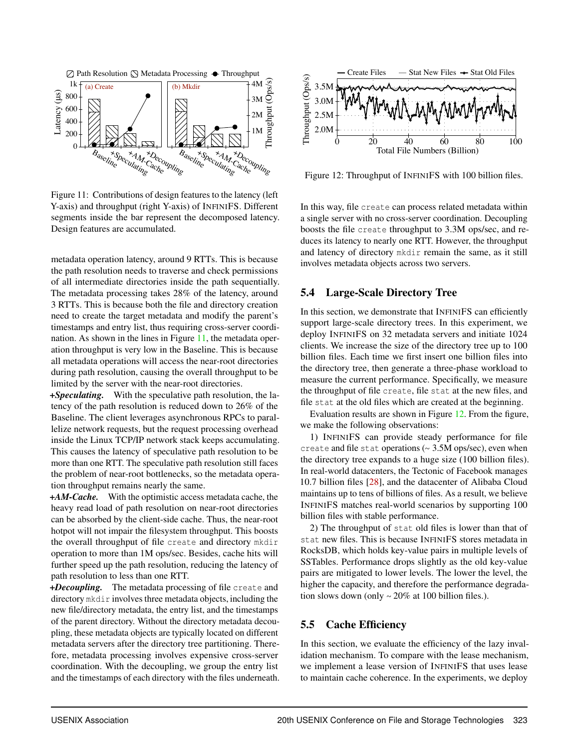

<span id="page-11-2"></span>Figure 11: Contributions of design features to the latency (left Y-axis) and throughput (right Y-axis) of INFINIFS. Different segments inside the bar represent the decomposed latency. Design features are accumulated.

metadata operation latency, around 9 RTTs. This is because the path resolution needs to traverse and check permissions of all intermediate directories inside the path sequentially. The metadata processing takes 28% of the latency, around 3 RTTs. This is because both the file and directory creation need to create the target metadata and modify the parent's timestamps and entry list, thus requiring cross-server coordination. As shown in the lines in Figure [11,](#page-11-2) the metadata operation throughput is very low in the Baseline. This is because all metadata operations will access the near-root directories during path resolution, causing the overall throughput to be limited by the server with the near-root directories.

*+Speculating.* With the speculative path resolution, the latency of the path resolution is reduced down to 26% of the Baseline. The client leverages asynchronous RPCs to parallelize network requests, but the request processing overhead inside the Linux TCP/IP network stack keeps accumulating. This causes the latency of speculative path resolution to be more than one RTT. The speculative path resolution still faces the problem of near-root bottlenecks, so the metadata operation throughput remains nearly the same.

*+AM-Cache.* With the optimistic access metadata cache, the heavy read load of path resolution on near-root directories can be absorbed by the client-side cache. Thus, the near-root hotpot will not impair the filesystem throughput. This boosts the overall throughput of file create and directory mkdir operation to more than 1M ops/sec. Besides, cache hits will further speed up the path resolution, reducing the latency of path resolution to less than one RTT.

*+Decoupling.* The metadata processing of file create and directory mkdir involves three metadata objects, including the new file/directory metadata, the entry list, and the timestamps of the parent directory. Without the directory metadata decoupling, these metadata objects are typically located on different metadata servers after the directory tree partitioning. Therefore, metadata processing involves expensive cross-server coordination. With the decoupling, we group the entry list and the timestamps of each directory with the files underneath.



<span id="page-11-3"></span>Figure 12: Throughput of INFINIFS with 100 billion files.

In this way, file create can process related metadata within a single server with no cross-server coordination. Decoupling boosts the file create throughput to 3.3M ops/sec, and reduces its latency to nearly one RTT. However, the throughput and latency of directory mkdir remain the same, as it still involves metadata objects across two servers.

### <span id="page-11-0"></span>5.4 Large-Scale Directory Tree

In this section, we demonstrate that INFINIFS can efficiently support large-scale directory trees. In this experiment, we deploy INFINIFS on 32 metadata servers and initiate 1024 clients. We increase the size of the directory tree up to 100 billion files. Each time we first insert one billion files into the directory tree, then generate a three-phase workload to measure the current performance. Specifically, we measure the throughput of file create, file stat at the new files, and file stat at the old files which are created at the beginning.

Evaluation results are shown in Figure [12.](#page-11-3) From the figure, we make the following observations:

1) INFINIFS can provide steady performance for file create and file stat operations (∼ 3.5M ops/sec), even when the directory tree expands to a huge size (100 billion files). In real-world datacenters, the Tectonic of Facebook manages 10.7 billion files [\[28\]](#page-15-5), and the datacenter of Alibaba Cloud maintains up to tens of billions of files. As a result, we believe INFINIFS matches real-world scenarios by supporting 100 billion files with stable performance.

2) The throughput of stat old files is lower than that of stat new files. This is because INFINIFS stores metadata in RocksDB, which holds key-value pairs in multiple levels of SSTables. Performance drops slightly as the old key-value pairs are mitigated to lower levels. The lower the level, the higher the capacity, and therefore the performance degradation slows down (only ∼ 20% at 100 billion files.).

## <span id="page-11-1"></span>5.5 Cache Efficiency

In this section, we evaluate the efficiency of the lazy invalidation mechanism. To compare with the lease mechanism, we implement a lease version of INFINIFS that uses lease to maintain cache coherence. In the experiments, we deploy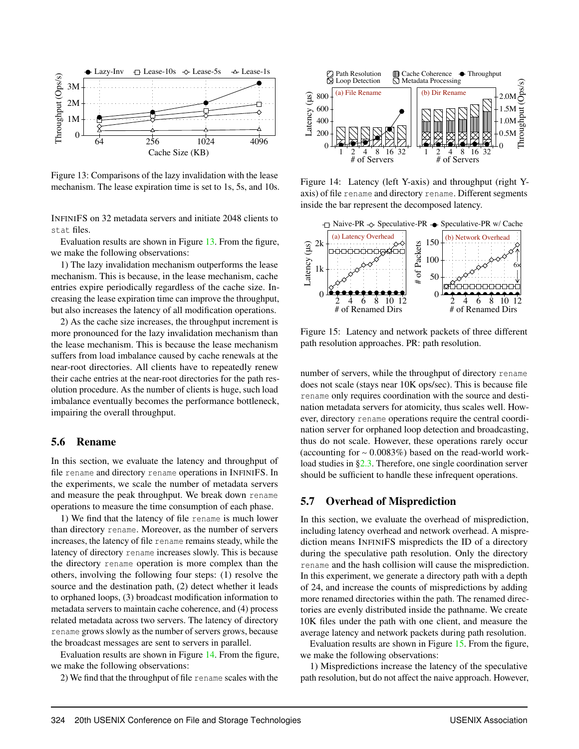

<span id="page-12-2"></span>Figure 13: Comparisons of the lazy invalidation with the lease mechanism. The lease expiration time is set to 1s, 5s, and 10s.

INFINIFS on 32 metadata servers and initiate 2048 clients to stat files.

Evaluation results are shown in Figure [13.](#page-12-2) From the figure, we make the following observations:

1) The lazy invalidation mechanism outperforms the lease mechanism. This is because, in the lease mechanism, cache entries expire periodically regardless of the cache size. Increasing the lease expiration time can improve the throughput, but also increases the latency of all modification operations.

2) As the cache size increases, the throughput increment is more pronounced for the lazy invalidation mechanism than the lease mechanism. This is because the lease mechanism suffers from load imbalance caused by cache renewals at the near-root directories. All clients have to repeatedly renew their cache entries at the near-root directories for the path resolution procedure. As the number of clients is huge, such load imbalance eventually becomes the performance bottleneck, impairing the overall throughput.

#### <span id="page-12-0"></span>5.6 Rename

In this section, we evaluate the latency and throughput of file rename and directory rename operations in INFINIFS. In the experiments, we scale the number of metadata servers and measure the peak throughput. We break down rename operations to measure the time consumption of each phase.

1) We find that the latency of file rename is much lower than directory rename. Moreover, as the number of servers increases, the latency of file rename remains steady, while the latency of directory rename increases slowly. This is because the directory rename operation is more complex than the others, involving the following four steps: (1) resolve the source and the destination path, (2) detect whether it leads to orphaned loops, (3) broadcast modification information to metadata servers to maintain cache coherence, and (4) process related metadata across two servers. The latency of directory rename grows slowly as the number of servers grows, because the broadcast messages are sent to servers in parallel.

Evaluation results are shown in Figure [14.](#page-12-3) From the figure, we make the following observations:

2) We find that the throughput of file rename scales with the



<span id="page-12-3"></span>Figure 14: Latency (left Y-axis) and throughput (right Yaxis) of file rename and directory rename. Different segments inside the bar represent the decomposed latency.



<span id="page-12-4"></span>Figure 15: Latency and network packets of three different path resolution approaches. PR: path resolution.

number of servers, while the throughput of directory rename does not scale (stays near 10K ops/sec). This is because file rename only requires coordination with the source and destination metadata servers for atomicity, thus scales well. However, directory rename operations require the central coordination server for orphaned loop detection and broadcasting, thus do not scale. However, these operations rarely occur (accounting for ∼ 0.0083%) based on the read-world workload studies in [§2.3.](#page-3-0) Therefore, one single coordination server should be sufficient to handle these infrequent operations.

## <span id="page-12-1"></span>5.7 Overhead of Misprediction

In this section, we evaluate the overhead of misprediction, including latency overhead and network overhead. A misprediction means INFINIFS mispredicts the ID of a directory during the speculative path resolution. Only the directory rename and the hash collision will cause the misprediction. In this experiment, we generate a directory path with a depth of 24, and increase the counts of mispredictions by adding more renamed directories within the path. The renamed directories are evenly distributed inside the pathname. We create 10K files under the path with one client, and measure the average latency and network packets during path resolution.

Evaluation results are shown in Figure [15.](#page-12-4) From the figure, we make the following observations:

1) Mispredictions increase the latency of the speculative path resolution, but do not affect the naive approach. However,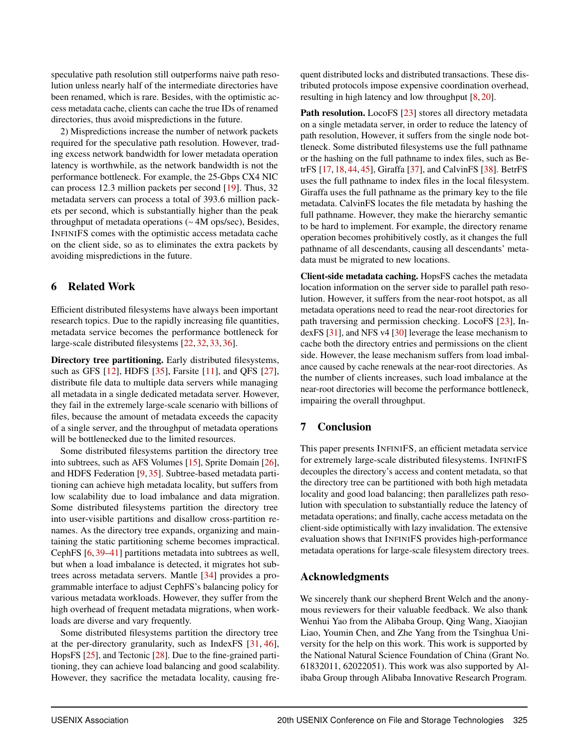speculative path resolution still outperforms naive path resolution unless nearly half of the intermediate directories have been renamed, which is rare. Besides, with the optimistic access metadata cache, clients can cache the true IDs of renamed directories, thus avoid mispredictions in the future.

2) Mispredictions increase the number of network packets required for the speculative path resolution. However, trading excess network bandwidth for lower metadata operation latency is worthwhile, as the network bandwidth is not the performance bottleneck. For example, the 25-Gbps CX4 NIC can process 12.3 million packets per second [\[19\]](#page-14-13). Thus, 32 metadata servers can process a total of 393.6 million packets per second, which is substantially higher than the peak throughput of metadata operations (∼ 4M ops/sec), Besides, INFINIFS comes with the optimistic access metadata cache on the client side, so as to eliminates the extra packets by avoiding mispredictions in the future.

## 6 Related Work

Efficient distributed filesystems have always been important research topics. Due to the rapidly increasing file quantities, metadata service becomes the performance bottleneck for large-scale distributed filesystems [\[22,](#page-15-6) [32,](#page-15-10) [33,](#page-15-9) [36\]](#page-15-3).

Directory tree partitioning. Early distributed filesystems, such as GFS [\[12\]](#page-14-2), HDFS [\[35\]](#page-15-2), Farsite [\[11\]](#page-14-14), and QFS [\[27\]](#page-15-1), distribute file data to multiple data servers while managing all metadata in a single dedicated metadata server. However, they fail in the extremely large-scale scenario with billions of files, because the amount of metadata exceeds the capacity of a single server, and the throughput of metadata operations will be bottlenecked due to the limited resources.

Some distributed filesystems partition the directory tree into subtrees, such as AFS Volumes [\[15\]](#page-14-15), Sprite Domain [\[26\]](#page-15-16), and HDFS Federation [\[9,](#page-14-16) [35\]](#page-15-2). Subtree-based metadata partitioning can achieve high metadata locality, but suffers from low scalability due to load imbalance and data migration. Some distributed filesystems partition the directory tree into user-visible partitions and disallow cross-partition renames. As the directory tree expands, organizing and maintaining the static partitioning scheme becomes impractical. CephFS [\[6,](#page-14-17) [39](#page-15-4)[–41\]](#page-16-1) partitions metadata into subtrees as well, but when a load imbalance is detected, it migrates hot subtrees across metadata servers. Mantle [\[34\]](#page-15-17) provides a programmable interface to adjust CephFS's balancing policy for various metadata workloads. However, they suffer from the high overhead of frequent metadata migrations, when workloads are diverse and vary frequently.

Some distributed filesystems partition the directory tree at the per-directory granularity, such as IndexFS [\[31,](#page-15-8) [46\]](#page-16-3), HopsFS [\[25\]](#page-15-7), and Tectonic [\[28\]](#page-15-5). Due to the fine-grained partitioning, they can achieve load balancing and good scalability. However, they sacrifice the metadata locality, causing fre-

quent distributed locks and distributed transactions. These distributed protocols impose expensive coordination overhead, resulting in high latency and low throughput [\[8,](#page-14-4) [20\]](#page-14-5).

Path resolution. LocoFS [\[23\]](#page-15-0) stores all directory metadata on a single metadata server, in order to reduce the latency of path resolution, However, it suffers from the single node bottleneck. Some distributed filesystems use the full pathname or the hashing on the full pathname to index files, such as BetrFS [\[17,](#page-14-18) [18,](#page-14-19) [44,](#page-16-4) [45\]](#page-16-5), Giraffa [\[37\]](#page-15-11), and CalvinFS [\[38\]](#page-15-18). BetrFS uses the full pathname to index files in the local filesystem. Giraffa uses the full pathname as the primary key to the file metadata. CalvinFS locates the file metadata by hashing the full pathname. However, they make the hierarchy semantic to be hard to implement. For example, the directory rename operation becomes prohibitively costly, as it changes the full pathname of all descendants, causing all descendants' metadata must be migrated to new locations.

Client-side metadata caching. HopsFS caches the metadata location information on the server side to parallel path resolution. However, it suffers from the near-root hotspot, as all metadata operations need to read the near-root directories for path traversing and permission checking. LocoFS [\[23\]](#page-15-0), IndexFS [\[31\]](#page-15-8), and NFS v4 [\[30\]](#page-15-12) leverage the lease mechanism to cache both the directory entries and permissions on the client side. However, the lease mechanism suffers from load imbalance caused by cache renewals at the near-root directories. As the number of clients increases, such load imbalance at the near-root directories will become the performance bottleneck, impairing the overall throughput.

# 7 Conclusion

This paper presents INFINIFS, an efficient metadata service for extremely large-scale distributed filesystems. INFINIFS decouples the directory's access and content metadata, so that the directory tree can be partitioned with both high metadata locality and good load balancing; then parallelizes path resolution with speculation to substantially reduce the latency of metadata operations; and finally, cache access metadata on the client-side optimistically with lazy invalidation. The extensive evaluation shows that INFINIFS provides high-performance metadata operations for large-scale filesystem directory trees.

## Acknowledgments

We sincerely thank our shepherd Brent Welch and the anonymous reviewers for their valuable feedback. We also thank Wenhui Yao from the Alibaba Group, Qing Wang, Xiaojian Liao, Youmin Chen, and Zhe Yang from the Tsinghua University for the help on this work. This work is supported by the National Natural Science Foundation of China (Grant No. 61832011, 62022051). This work was also supported by Alibaba Group through Alibaba Innovative Research Program.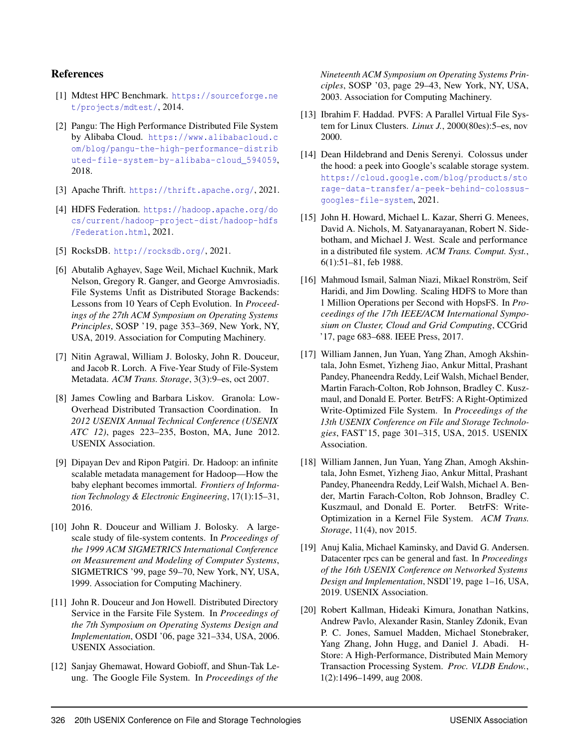## References

- <span id="page-14-11"></span>[1] Mdtest HPC Benchmark. [https://sourceforge.ne](https://sourceforge.net/projects/mdtest/) [t/projects/mdtest/](https://sourceforge.net/projects/mdtest/), 2014.
- <span id="page-14-1"></span>[2] Pangu: The High Performance Distributed File System by Alibaba Cloud. [https://www.alibabacloud.c](https://www.alibabacloud.com/blog/pangu-the-high-performance-distributed-file-system-by-alibaba-cloud_594059) [om/blog/pangu-the-high-performance-distrib](https://www.alibabacloud.com/blog/pangu-the-high-performance-distributed-file-system-by-alibaba-cloud_594059) [uted-file-system-by-alibaba-cloud\\_594059](https://www.alibabacloud.com/blog/pangu-the-high-performance-distributed-file-system-by-alibaba-cloud_594059), 2018.
- <span id="page-14-9"></span>[3] Apache Thrift. <https://thrift.apache.org/>, 2021.
- <span id="page-14-3"></span>[4] HDFS Federation. [https://hadoop.apache.org/do](https://hadoop.apache.org/docs/current/hadoop-project-dist/hadoop-hdfs/Federation.html) [cs/current/hadoop-project-dist/hadoop-hdfs](https://hadoop.apache.org/docs/current/hadoop-project-dist/hadoop-hdfs/Federation.html) [/Federation.html](https://hadoop.apache.org/docs/current/hadoop-project-dist/hadoop-hdfs/Federation.html), 2021.
- <span id="page-14-10"></span>[5] RocksDB. <http://rocksdb.org/>, 2021.
- <span id="page-14-17"></span>[6] Abutalib Aghayev, Sage Weil, Michael Kuchnik, Mark Nelson, Gregory R. Ganger, and George Amvrosiadis. File Systems Unfit as Distributed Storage Backends: Lessons from 10 Years of Ceph Evolution. In *Proceedings of the 27th ACM Symposium on Operating Systems Principles*, SOSP '19, page 353–369, New York, NY, USA, 2019. Association for Computing Machinery.
- <span id="page-14-6"></span>[7] Nitin Agrawal, William J. Bolosky, John R. Douceur, and Jacob R. Lorch. A Five-Year Study of File-System Metadata. *ACM Trans. Storage*, 3(3):9–es, oct 2007.
- <span id="page-14-4"></span>[8] James Cowling and Barbara Liskov. Granola: Low-Overhead Distributed Transaction Coordination. In *2012 USENIX Annual Technical Conference (USENIX ATC 12)*, pages 223–235, Boston, MA, June 2012. USENIX Association.
- <span id="page-14-16"></span>[9] Dipayan Dev and Ripon Patgiri. Dr. Hadoop: an infinite scalable metadata management for Hadoop—How the baby elephant becomes immortal. *Frontiers of Information Technology & Electronic Engineering*, 17(1):15–31, 2016.
- <span id="page-14-7"></span>[10] John R. Douceur and William J. Bolosky. A largescale study of file-system contents. In *Proceedings of the 1999 ACM SIGMETRICS International Conference on Measurement and Modeling of Computer Systems*, SIGMETRICS '99, page 59–70, New York, NY, USA, 1999. Association for Computing Machinery.
- <span id="page-14-14"></span>[11] John R. Douceur and Jon Howell. Distributed Directory Service in the Farsite File System. In *Proceedings of the 7th Symposium on Operating Systems Design and Implementation*, OSDI '06, page 321–334, USA, 2006. USENIX Association.
- <span id="page-14-2"></span>[12] Sanjay Ghemawat, Howard Gobioff, and Shun-Tak Leung. The Google File System. In *Proceedings of the*

*Nineteenth ACM Symposium on Operating Systems Principles*, SOSP '03, page 29–43, New York, NY, USA, 2003. Association for Computing Machinery.

- <span id="page-14-8"></span>[13] Ibrahim F. Haddad. PVFS: A Parallel Virtual File System for Linux Clusters. *Linux J.*, 2000(80es):5–es, nov 2000.
- <span id="page-14-0"></span>[14] Dean Hildebrand and Denis Serenyi. Colossus under the hood: a peek into Google's scalable storage system. [https://cloud.google.com/blog/products/sto](https://cloud.google.com/blog/products/storage-data-transfer/a-peek-behind-colossus-googles-file-system) [rage-data-transfer/a-peek-behind-colossus](https://cloud.google.com/blog/products/storage-data-transfer/a-peek-behind-colossus-googles-file-system)[googles-file-system](https://cloud.google.com/blog/products/storage-data-transfer/a-peek-behind-colossus-googles-file-system), 2021.
- <span id="page-14-15"></span>[15] John H. Howard, Michael L. Kazar, Sherri G. Menees, David A. Nichols, M. Satyanarayanan, Robert N. Sidebotham, and Michael J. West. Scale and performance in a distributed file system. *ACM Trans. Comput. Syst.*, 6(1):51–81, feb 1988.
- <span id="page-14-12"></span>[16] Mahmoud Ismail, Salman Niazi, Mikael Ronström, Seif Haridi, and Jim Dowling. Scaling HDFS to More than 1 Million Operations per Second with HopsFS. In *Proceedings of the 17th IEEE/ACM International Symposium on Cluster, Cloud and Grid Computing*, CCGrid '17, page 683–688. IEEE Press, 2017.
- <span id="page-14-18"></span>[17] William Jannen, Jun Yuan, Yang Zhan, Amogh Akshintala, John Esmet, Yizheng Jiao, Ankur Mittal, Prashant Pandey, Phaneendra Reddy, Leif Walsh, Michael Bender, Martin Farach-Colton, Rob Johnson, Bradley C. Kuszmaul, and Donald E. Porter. BetrFS: A Right-Optimized Write-Optimized File System. In *Proceedings of the 13th USENIX Conference on File and Storage Technologies*, FAST'15, page 301–315, USA, 2015. USENIX Association.
- <span id="page-14-19"></span>[18] William Jannen, Jun Yuan, Yang Zhan, Amogh Akshintala, John Esmet, Yizheng Jiao, Ankur Mittal, Prashant Pandey, Phaneendra Reddy, Leif Walsh, Michael A. Bender, Martin Farach-Colton, Rob Johnson, Bradley C. Kuszmaul, and Donald E. Porter. BetrFS: Write-Optimization in a Kernel File System. *ACM Trans. Storage*, 11(4), nov 2015.
- <span id="page-14-13"></span>[19] Anuj Kalia, Michael Kaminsky, and David G. Andersen. Datacenter rpcs can be general and fast. In *Proceedings of the 16th USENIX Conference on Networked Systems Design and Implementation*, NSDI'19, page 1–16, USA, 2019. USENIX Association.
- <span id="page-14-5"></span>[20] Robert Kallman, Hideaki Kimura, Jonathan Natkins, Andrew Pavlo, Alexander Rasin, Stanley Zdonik, Evan P. C. Jones, Samuel Madden, Michael Stonebraker, Yang Zhang, John Hugg, and Daniel J. Abadi. H-Store: A High-Performance, Distributed Main Memory Transaction Processing System. *Proc. VLDB Endow.*, 1(2):1496–1499, aug 2008.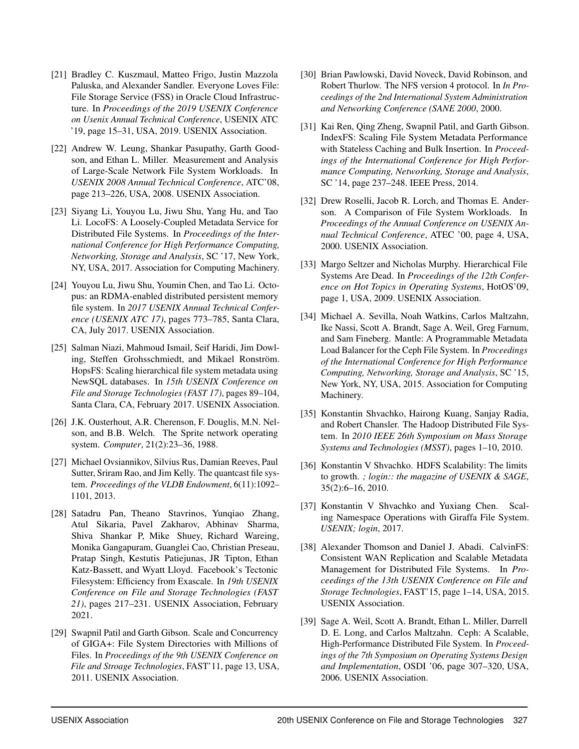- <span id="page-15-14"></span>[21] Bradley C. Kuszmaul, Matteo Frigo, Justin Mazzola Paluska, and Alexander Sandler. Everyone Loves File: File Storage Service (FSS) in Oracle Cloud Infrastructure. In *Proceedings of the 2019 USENIX Conference on Usenix Annual Technical Conference*, USENIX ATC '19, page 15–31, USA, 2019. USENIX Association.
- <span id="page-15-6"></span>[22] Andrew W. Leung, Shankar Pasupathy, Garth Goodson, and Ethan L. Miller. Measurement and Analysis of Large-Scale Network File System Workloads. In *USENIX 2008 Annual Technical Conference*, ATC'08, page 213–226, USA, 2008. USENIX Association.
- <span id="page-15-0"></span>[23] Siyang Li, Youyou Lu, Jiwu Shu, Yang Hu, and Tao Li. LocoFS: A Loosely-Coupled Metadata Service for Distributed File Systems. In *Proceedings of the International Conference for High Performance Computing, Networking, Storage and Analysis*, SC '17, New York, NY, USA, 2017. Association for Computing Machinery.
- <span id="page-15-15"></span>[24] Youyou Lu, Jiwu Shu, Youmin Chen, and Tao Li. Octopus: an RDMA-enabled distributed persistent memory file system. In *2017 USENIX Annual Technical Conference (USENIX ATC 17)*, pages 773–785, Santa Clara, CA, July 2017. USENIX Association.
- <span id="page-15-7"></span>[25] Salman Niazi, Mahmoud Ismail, Seif Haridi, Jim Dowling, Steffen Grohsschmiedt, and Mikael Ronström. HopsFS: Scaling hierarchical file system metadata using NewSQL databases. In *15th USENIX Conference on File and Storage Technologies (FAST 17)*, pages 89–104, Santa Clara, CA, February 2017. USENIX Association.
- <span id="page-15-16"></span>[26] J.K. Ousterhout, A.R. Cherenson, F. Douglis, M.N. Nelson, and B.B. Welch. The Sprite network operating system. *Computer*, 21(2):23–36, 1988.
- <span id="page-15-1"></span>[27] Michael Ovsiannikov, Silvius Rus, Damian Reeves, Paul Sutter, Sriram Rao, and Jim Kelly. The quantcast file system. *Proceedings of the VLDB Endowment*, 6(11):1092– 1101, 2013.
- <span id="page-15-5"></span>[28] Satadru Pan, Theano Stavrinos, Yunqiao Zhang, Atul Sikaria, Pavel Zakharov, Abhinav Sharma, Shiva Shankar P, Mike Shuey, Richard Wareing, Monika Gangapuram, Guanglei Cao, Christian Preseau, Pratap Singh, Kestutis Patiejunas, JR Tipton, Ethan Katz-Bassett, and Wyatt Lloyd. Facebook's Tectonic Filesystem: Efficiency from Exascale. In *19th USENIX Conference on File and Storage Technologies (FAST 21)*, pages 217–231. USENIX Association, February 2021.
- <span id="page-15-13"></span>[29] Swapnil Patil and Garth Gibson. Scale and Concurrency of GIGA+: File System Directories with Millions of Files. In *Proceedings of the 9th USENIX Conference on File and Stroage Technologies*, FAST'11, page 13, USA, 2011. USENIX Association.
- <span id="page-15-12"></span>[30] Brian Pawlowski, David Noveck, David Robinson, and Robert Thurlow. The NFS version 4 protocol. In *In Proceedings of the 2nd International System Administration and Networking Conference (SANE 2000*, 2000.
- <span id="page-15-8"></span>[31] Kai Ren, Qing Zheng, Swapnil Patil, and Garth Gibson. IndexFS: Scaling File System Metadata Performance with Stateless Caching and Bulk Insertion. In *Proceedings of the International Conference for High Performance Computing, Networking, Storage and Analysis*, SC '14, page 237–248. IEEE Press, 2014.
- <span id="page-15-10"></span>[32] Drew Roselli, Jacob R. Lorch, and Thomas E. Anderson. A Comparison of File System Workloads. In *Proceedings of the Annual Conference on USENIX Annual Technical Conference*, ATEC '00, page 4, USA, 2000. USENIX Association.
- <span id="page-15-9"></span>[33] Margo Seltzer and Nicholas Murphy. Hierarchical File Systems Are Dead. In *Proceedings of the 12th Conference on Hot Topics in Operating Systems*, HotOS'09, page 1, USA, 2009. USENIX Association.
- <span id="page-15-17"></span>[34] Michael A. Sevilla, Noah Watkins, Carlos Maltzahn, Ike Nassi, Scott A. Brandt, Sage A. Weil, Greg Farnum, and Sam Fineberg. Mantle: A Programmable Metadata Load Balancer for the Ceph File System. In *Proceedings of the International Conference for High Performance Computing, Networking, Storage and Analysis*, SC '15, New York, NY, USA, 2015. Association for Computing Machinery.
- <span id="page-15-2"></span>[35] Konstantin Shvachko, Hairong Kuang, Sanjay Radia, and Robert Chansler. The Hadoop Distributed File System. In *2010 IEEE 26th Symposium on Mass Storage Systems and Technologies (MSST)*, pages 1–10, 2010.
- <span id="page-15-3"></span>[36] Konstantin V Shvachko. HDFS Scalability: The limits to growth. *; login:: the magazine of USENIX & SAGE*, 35(2):6–16, 2010.
- <span id="page-15-11"></span>[37] Konstantin V Shvachko and Yuxiang Chen. Scaling Namespace Operations with Giraffa File System. *USENIX; login*, 2017.
- <span id="page-15-18"></span>[38] Alexander Thomson and Daniel J. Abadi. CalvinFS: Consistent WAN Replication and Scalable Metadata Management for Distributed File Systems. In *Proceedings of the 13th USENIX Conference on File and Storage Technologies*, FAST'15, page 1–14, USA, 2015. USENIX Association.
- <span id="page-15-4"></span>[39] Sage A. Weil, Scott A. Brandt, Ethan L. Miller, Darrell D. E. Long, and Carlos Maltzahn. Ceph: A Scalable, High-Performance Distributed File System. In *Proceedings of the 7th Symposium on Operating Systems Design and Implementation*, OSDI '06, page 307–320, USA, 2006. USENIX Association.